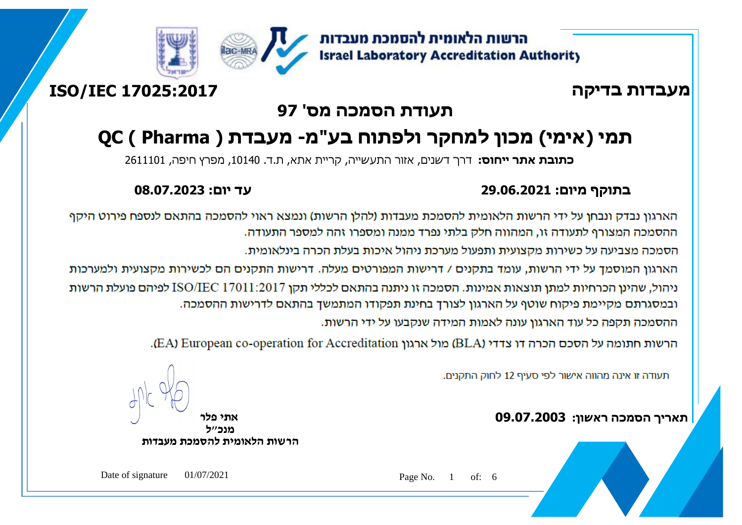

## **מעבדות בדיקה 17025:2017 IEC/ISO**

### **תעודת הסמכה מס' 97**

# **תמי )אימי( מכון למחקר ולפתוח בע"מ- מעבדת ( Pharma ) QC**

**כתובת אתר ייחוס:** דרך דשנים, אזור התעשייה, קריית אתא, ת.ד. ,10140 מפרץ חיפה, 2611101

### **בתוקף מיום: 29.06.2021 עד יום: 08.07.2023**

הארגון נבדק ונבחן על ידי הרשות הלאומית להסמכת מעבדות (להלן הרשות) ונמצא ראוי להסמכה בהתאם לנספח פירוט היקף ההסמכה המצורף לתעודה זו. המהווה חלק בלתי נפרד ממנה ומספרו זהה למספר התעודה.

הסמכה מצביעה על כשירות מקצועית ותפעול מערכת ניהול איכות בעלת הכרה בינלאומית.

הארגון המוסמד על ידי הרשות, עומד בתקנים / דרישות המפורטים מעלה. דרישות התקנים הם לכשירות מקצועית ולמערכות ניהול, שהינן הכרחיות למתן תוצאות אמינות. הסמכה זו ניתנה בהתאם לכללי תקן ISO/IEC 17011:2017 לפיהם פועלת הרשות ובמסגרתם מקיימת פיקוח שוטף על הארגון לצורך בחינת תפקודו המתמשך בהתאם לדרישות ההסמכה. ההסמכה תקפה כל עוד הארגוו עונה לאמות המידה שנקבעו על ידי הרשות.

הרשות חתומה על הסכם הכרה דו צדדי (BLA) מול ארגון EA) European co-operation for Accreditation).

תעודה זו אינה מהווה אישור לפי סעיף 12 לחוק התקנים.

**תאריך הסמכה ראשון: 09.07.2003 אתי פלר**

ľ

**מנכ"ל הרשות הלאומית להסמכת מעבדות**

Date of signature 01/07/2021 Page No. 1 of: 6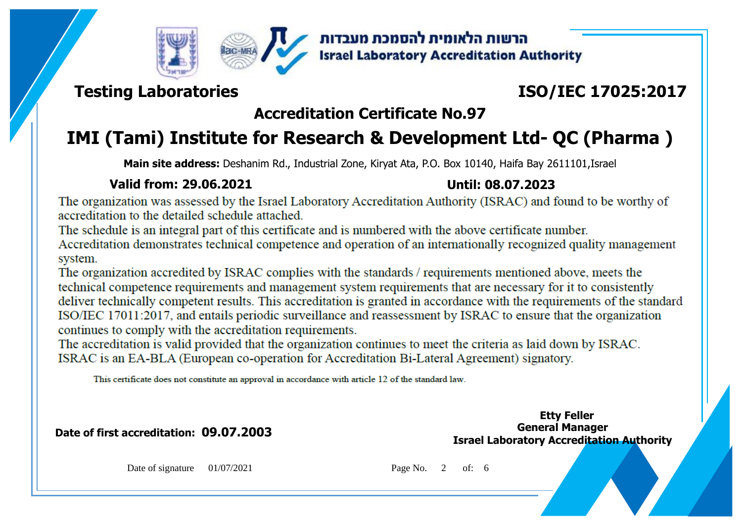



### **Testing Laboratories**

## **ISO/IEC 17025:2017**

### **Accreditation Certificate No.97**

## **IMI (Tami) Institute for Research & Development Ltd- QC (Pharma )**

**Main site address:** Deshanim Rd., Industrial Zone, Kiryat Ata, P.O. Box 10140, Haifa Bay 2611101,Israel

### **Valid from: 29.06.2021 Until: 08.07.2023**

The organization was assessed by the Israel Laboratory Accreditation Authority (ISRAC) and found to be worthy of accreditation to the detailed schedule attached.

The schedule is an integral part of this certificate and is numbered with the above certificate number.

Accreditation demonstrates technical competence and operation of an internationally recognized quality management system.

The organization accredited by ISRAC complies with the standards / requirements mentioned above, meets the technical competence requirements and management system requirements that are necessary for it to consistently deliver technically competent results. This accreditation is granted in accordance with the requirements of the standard ISO/IEC 17011:2017, and entails periodic surveillance and reassessment by ISRAC to ensure that the organization continues to comply with the accreditation requirements.

The accreditation is valid provided that the organization continues to meet the criteria as laid down by ISRAC. ISRAC is an EA-BLA (European co-operation for Accreditation Bi-Lateral Agreement) signatory.

This certificate does not constitute an approval in accordance with article 12 of the standard law.

**Date of first accreditation: 09.07.2003 General Manager** 

**Israel Laboratory Accreditation Authority Etty Feller**

Date of signature 01/07/2021 Page No. 2 of: 6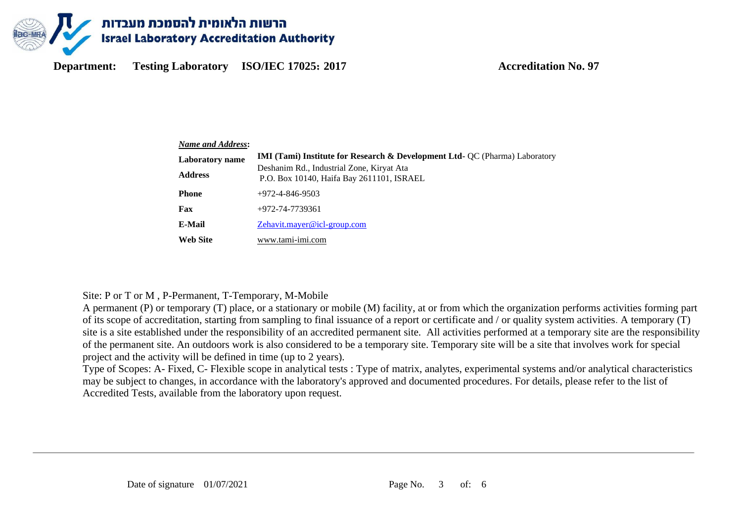

| <b>Name and Address:</b> |                                                                                                                                     |  |  |  |  |  |
|--------------------------|-------------------------------------------------------------------------------------------------------------------------------------|--|--|--|--|--|
| <b>Laboratory</b> name   | <b>IMI (Tami) Institute for Research &amp; Development Ltd- QC (Pharma) Laboratory</b><br>Deshanim Rd., Industrial Zone, Kiryat Ata |  |  |  |  |  |
| <b>Address</b>           | P.O. Box 10140, Haifa Bay 2611101, ISRAEL                                                                                           |  |  |  |  |  |
| <b>Phone</b>             | $+972 - 4 - 846 - 9503$                                                                                                             |  |  |  |  |  |
| Fax                      | +972-74-7739361                                                                                                                     |  |  |  |  |  |
| E-Mail                   | Zehavit.mayer@icl-group.com                                                                                                         |  |  |  |  |  |
| <b>Web Site</b>          | www.tami-imi.com                                                                                                                    |  |  |  |  |  |

### Site: P or T or M , P-Permanent, T-Temporary, M-Mobile

A permanent (P) or temporary (T) place, or a stationary or mobile (M) facility, at or from which the organization performs activities forming part of its scope of accreditation, starting from sampling to final issuance of a report or certificate and / or quality system activities. A temporary (T) site is a site established under the responsibility of an accredited permanent site. All activities performed at a temporary site are the responsibility of the permanent site. An outdoors work is also considered to be a temporary site. Temporary site will be a site that involves work for special project and the activity will be defined in time (up to 2 years).

Type of Scopes: A- Fixed, C- Flexible scope in analytical tests : Type of matrix, analytes, experimental systems and/or analytical characteristics may be subject to changes, in accordance with the laboratory's approved and documented procedures. For details, please refer to the list of Accredited Tests, available from the laboratory upon request.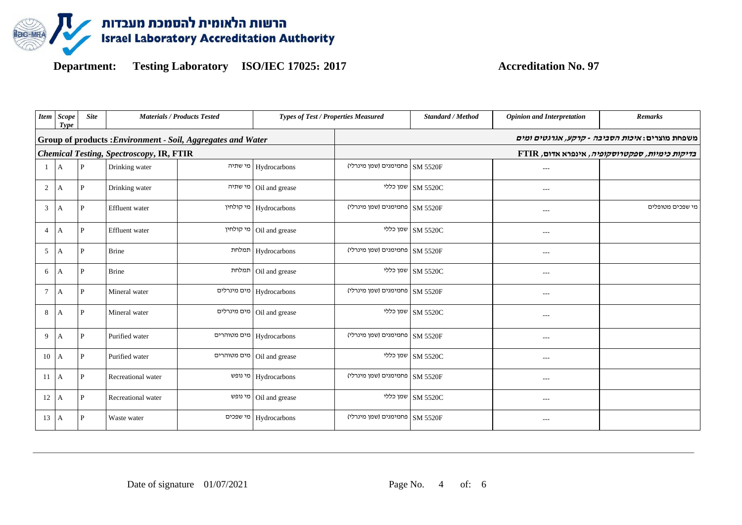

|                | Item Scope<br>Type | <b>Site</b> | <b>Materials / Products Tested</b>                           | <b>Types of Test / Properties Measured</b> |                                                        | <b>Standard / Method</b>  | <b>Opinion and Interpretation</b>        | <b>Remarks</b>   |  |  |
|----------------|--------------------|-------------|--------------------------------------------------------------|--------------------------------------------|--------------------------------------------------------|---------------------------|------------------------------------------|------------------|--|--|
|                |                    |             | Group of products : Environment - Soil, Aggregates and Water |                                            | משפחת מוצרים: <i>איכות הסביבה - קרקע, אגרגטים ומים</i> |                           |                                          |                  |  |  |
|                |                    |             | <b>Chemical Testing, Spectroscopy, IR, FTIR</b>              |                                            | ETIR ,בדיקות כימיות, ספקטרוסקופיה, אינפרא אדום         |                           |                                          |                  |  |  |
| -1             | $\mathsf{A}$       | P           | Drinking water                                               | מי שתיה Hydrocarbons                       | פחמימנים (שמן מינרלי)                                  | <b>SM 5520F</b>           | $---$                                    |                  |  |  |
| $\overline{2}$ | A                  | P           | Drinking water                                               | Oil and grease   מי שתיה                   |                                                        | שמן כללי $\vert$ SM 5520C | ---                                      |                  |  |  |
| 3              | A                  | P           | Effluent water                                               | Hydrocarbons   מי קולחין                   | SM 5520F   פחמימנים (שמן מינרלי)                       |                           | ---                                      | מי שפכים מטופלים |  |  |
| $\overline{4}$ | A                  | P           | Effluent water                                               | Oil and grease   מי קולחין                 |                                                        | שמן כללי $\vert$ SM 5520C | $---$                                    |                  |  |  |
| 5              | A                  | P           | Brine                                                        | Hydrocarbons   תמלחת                       | SM 5520F   פחמימנים (שמן מינרלי)                       |                           | $\hspace{0.05cm} \ldots \hspace{0.05cm}$ |                  |  |  |
| 6              | A                  | P           | <b>Brine</b>                                                 | Oil and grease                             |                                                        | שמן כללי $\,$ SM 5520C    | $\qquad \qquad -$                        |                  |  |  |
| $\tau$         | A                  | P           | Mineral water                                                | מים מינרלים Hydrocarbons                   | SM 5520F   פחמימנים (שמן מינרלי)                       |                           | $\qquad \qquad -$                        |                  |  |  |
| $8\,$          | A                  | P           | Mineral water                                                | מים מינרלים Oil and grease                 |                                                        | שמן כללי $\vert$ SM 5520C | $\qquad \qquad -$                        |                  |  |  |
| 9              | A                  | P           | Purified water                                               | Hydrocarbons   מים מטוהרים                 | פחמימנים (שמן מינרלי)                                  | <b>SM 5520F</b>           | ---                                      |                  |  |  |
| 10             | A                  | P           | Purified water                                               | Oil and grease   מים מטוהרים               |                                                        | SM 5520C                  | $\qquad \qquad -$                        |                  |  |  |
| 11             | $\mathsf{A}$       | P           | Recreational water                                           | מי נופש Hydrocarbons                       | SM 5520F   פחמימנים (שמן מינרלי)                       |                           | $\cdots$                                 |                  |  |  |
| 12             | A                  | P           | Recreational water                                           | Oil and grease   מי נופש                   |                                                        | שמן כללי $\,$ SM 5520C    | $\hspace{0.05cm} \ldots \hspace{0.05cm}$ |                  |  |  |
| 13             | $\overline{A}$     | P           | Waste water                                                  | Hydrocarbons   מי שפכים                    | SM 5520F   פחמימנים (שמן מינרלי)                       |                           | ---                                      |                  |  |  |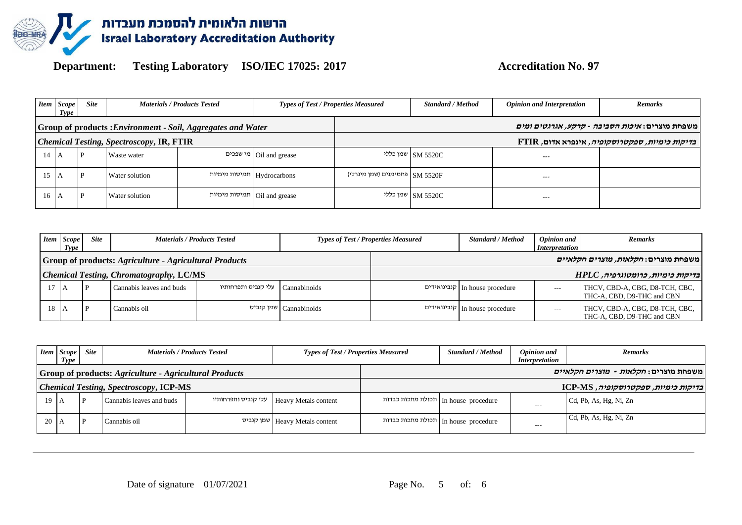

| <b>Item</b>                                     | <b>Scope</b><br>Type | <b>Site</b> |                | <b>Materials / Products Tested</b>                          | <b>Types of Test / Properties Measured</b> |                                  | <b>Standard / Method</b> | <b>Opinion and Interpretation</b> | <b>Remarks</b>                                         |
|-------------------------------------------------|----------------------|-------------|----------------|-------------------------------------------------------------|--------------------------------------------|----------------------------------|--------------------------|-----------------------------------|--------------------------------------------------------|
|                                                 |                      |             |                | Group of products: Environment - Soil, Aggregates and Water |                                            |                                  |                          |                                   | משפחת מוצרים: <i>איכות הסביבה - קרקע, אגרגטים ומים</i> |
| <b>Chemical Testing, Spectroscopy, IR, FTIR</b> |                      |             |                |                                                             |                                            |                                  |                          |                                   | <i>בדיקות כימיות, ספקטרוסקופיה</i> , אינפרא אדום, FTIR |
| 14                                              | A                    | P           | Waste water    |                                                             | Oil and grease   מי שפכים                  |                                  | שמן כללי SM 5520C        | $---$                             |                                                        |
| 15                                              |                      |             | Water solution |                                                             | תמיסות מימיות Hydrocarbons                 | SM 5520F   פחמימנים (שמן מינרלי) |                          | $\qquad \qquad -$                 |                                                        |
| 16                                              | ΙA.                  |             | Water solution |                                                             | Oil and grease   תמיסות מימיות             |                                  | שמן כללי SM 5520C        | $---$                             |                                                        |

|                                                        | <b>Types of Test / Properties Measured</b><br><b>Site</b><br><b>Materials / Products Tested</b><br><b>Item</b> Scope<br>Type |   |                          | <b>Standard / Method</b>                  | <b>Opinion and</b><br><i>Interpretation</i> | <b>Remarks</b>                 |       |                                                              |
|--------------------------------------------------------|------------------------------------------------------------------------------------------------------------------------------|---|--------------------------|-------------------------------------------|---------------------------------------------|--------------------------------|-------|--------------------------------------------------------------|
| Group of products: Agriculture - Agricultural Products |                                                                                                                              |   |                          |                                           |                                             |                                |       | משפחת מוצרים: <i>חקלאות, מוצרים חקלאיים</i>                  |
| <b>Chemical Testing, Chromatography, LC/MS</b>         |                                                                                                                              |   |                          |                                           |                                             |                                |       | בדיקות כימיות, כרומטוגרפיה, HPLC                             |
|                                                        |                                                                                                                              | D | Cannabis leaves and buds | עלי קנביס ותפרחותיו $\text{Cannabinoids}$ |                                             | קנבינואידים In house procedure | $---$ | THCV, CBD-A, CBG, D8-TCH, CBC,<br>THC-A, CBD, D9-THC and CBN |
| 18                                                     |                                                                                                                              |   | Cannabis oil             |                                           | שמן קנביס   Cannabinoids                    | קנבינואידים In house procedure | $---$ | THCV, CBD-A, CBG, D8-TCH, CBC,<br>THC-A, CBD, D9-THC and CBN |

| <b>Item</b>                                                   | Scope  <br>Type | <b>Site</b> |                          | <b>Materials / Products Tested</b> | <b>Types of Test / Properties Measured</b> | <b>Standard / Method</b>             | Opinion and<br><i>Interpretation</i> | <b>Remarks</b>                               |
|---------------------------------------------------------------|-----------------|-------------|--------------------------|------------------------------------|--------------------------------------------|--------------------------------------|--------------------------------------|----------------------------------------------|
| <b>Group of products: Agriculture - Agricultural Products</b> |                 |             |                          |                                    |                                            |                                      |                                      | משפחת מוצרים: <i>חקלאות - מוצרים חקלאיים</i> |
| <b>Chemical Testing, Spectroscopy, ICP-MS</b>                 |                 |             |                          |                                    |                                            |                                      |                                      | בדיקות כימיות, ספקטרוסקופיה, ICP-MS          |
| 19 A                                                          |                 |             | Cannabis leaves and buds | עלי קנביס ותפרחותיו                | <b>Heavy Metals content</b>                | תכולת מתכות כבדות In house procedure | $---$                                | Cd, Pb, As, Hg, Ni, Zn                       |
| $20 \text{ A}$                                                |                 |             | Cannabis oil             |                                    | שמן קנביס Heavy Metals content             | תכולת מתכות כבדות In house procedure | $---$                                | Cd, Pb, As, Hg, Ni, Zn                       |